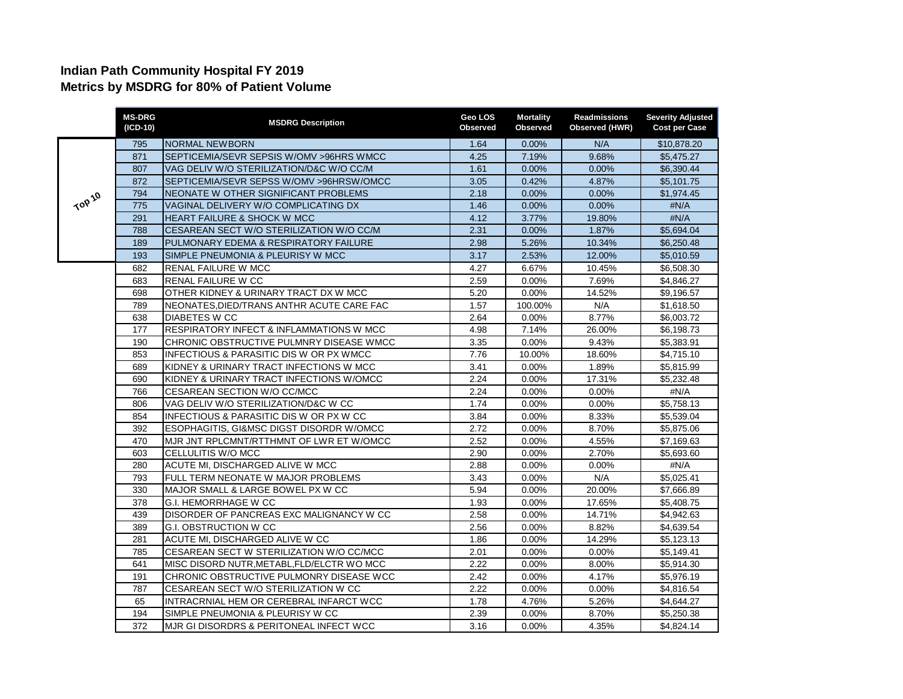## **Indian Path Community Hospital FY 2019 Metrics by MSDRG for 80% of Patient Volume**

|        | <b>MS-DRG</b><br>(ICD-10) | <b>MSDRG Description</b>                            | Geo LOS<br><b>Observed</b> | <b>Mortality</b><br>Observed | <b>Readmissions</b><br>Observed (HWR) | <b>Severity Adjusted</b><br><b>Cost per Case</b> |
|--------|---------------------------|-----------------------------------------------------|----------------------------|------------------------------|---------------------------------------|--------------------------------------------------|
| TOP 10 | 795                       | <b>NORMAL NEWBORN</b>                               | 1.64                       | 0.00%                        | N/A                                   | \$10,878.20                                      |
|        | 871                       | SEPTICEMIA/SEVR SEPSIS W/OMV >96HRS WMCC            | 4.25                       | 7.19%                        | 9.68%                                 | \$5,475.27                                       |
|        | 807                       | VAG DELIV W/O STERILIZATION/D&C W/O CC/M            | 1.61                       | 0.00%                        | 0.00%                                 | \$6,390.44                                       |
|        | 872                       | SEPTICEMIA/SEVR SEPSS W/OMV >96HRSW/OMCC            | 3.05                       | 0.42%                        | 4.87%                                 | \$5,101.75                                       |
|        | 794                       | NEONATE W OTHER SIGNIFICANT PROBLEMS                | 2.18                       | $0.00\%$                     | 0.00%                                 | \$1,974.45                                       |
|        | 775                       | VAGINAL DELIVERY W/O COMPLICATING DX                | 1.46                       | 0.00%                        | 0.00%                                 | #N/A                                             |
|        | 291                       | HEART FAILURE & SHOCK W MCC                         | 4.12                       | 3.77%                        | 19.80%                                | #N/A                                             |
|        | 788                       | CESAREAN SECT W/O STERILIZATION W/O CC/M            | 2.31                       | 0.00%                        | 1.87%                                 | \$5,694.04                                       |
|        | 189                       | PULMONARY EDEMA & RESPIRATORY FAILURE               | 2.98                       | 5.26%                        | 10.34%                                | \$6,250.48                                       |
|        | 193                       | SIMPLE PNEUMONIA & PLEURISY W MCC                   | 3.17                       | 2.53%                        | 12.00%                                | \$5,010.59                                       |
|        | 682                       | <b>RENAL FAILURE W MCC</b>                          | 4.27                       | 6.67%                        | 10.45%                                | \$6,508.30                                       |
|        | 683                       | <b>RENAL FAILURE W CC</b>                           | 2.59                       | 0.00%                        | 7.69%                                 | \$4,846.27                                       |
|        | 698                       | OTHER KIDNEY & URINARY TRACT DX W MCC               | 5.20                       | 0.00%                        | 14.52%                                | \$9,196.57                                       |
|        | 789                       | NEONATES, DIED/TRANS ANTHR ACUTE CARE FAC           | 1.57                       | 100.00%                      | N/A                                   | \$1,618.50                                       |
|        | 638                       | <b>DIABETES W CC</b>                                | 2.64                       | 0.00%                        | 8.77%                                 | \$6,003.72                                       |
|        | 177                       | RESPIRATORY INFECT & INFLAMMATIONS W MCC            | 4.98                       | 7.14%                        | 26.00%                                | \$6,198.73                                       |
|        | 190                       | CHRONIC OBSTRUCTIVE PULMNRY DISEASE WMCC            | 3.35                       | 0.00%                        | 9.43%                                 | \$5,383.91                                       |
|        | 853                       | <b>INFECTIOUS &amp; PARASITIC DIS W OR PX WMCC</b>  | 7.76                       | 10.00%                       | 18.60%                                | \$4,715.10                                       |
|        | 689                       | KIDNEY & URINARY TRACT INFECTIONS W MCC             | 3.41                       | 0.00%                        | 1.89%                                 | \$5,815.99                                       |
|        | 690                       | KIDNEY & URINARY TRACT INFECTIONS W/OMCC            | 2.24                       | 0.00%                        | 17.31%                                | \$5,232.48                                       |
|        | 766                       | CESAREAN SECTION W/O CC/MCC                         | 2.24                       | 0.00%                        | 0.00%                                 | #N/A                                             |
|        | 806                       | VAG DELIV W/O STERILIZATION/D&C W CC                | 1.74                       | 0.00%                        | 0.00%                                 | \$5,758.13                                       |
|        | 854                       | INFECTIOUS & PARASITIC DIS W OR PX W CC             | 3.84                       | 0.00%                        | 8.33%                                 | \$5,539.04                                       |
|        | 392                       | <b>ESOPHAGITIS, GI&amp;MSC DIGST DISORDR W/OMCC</b> | 2.72                       | 0.00%                        | 8.70%                                 | \$5,875.06                                       |
|        | 470                       | MJR JNT RPLCMNT/RTTHMNT OF LWR ET W/OMCC            | 2.52                       | 0.00%                        | 4.55%                                 | \$7,169.63                                       |
|        | 603                       | CELLULITIS W/O MCC                                  | 2.90                       | 0.00%                        | 2.70%                                 | \$5,693.60                                       |
|        | 280                       | ACUTE MI, DISCHARGED ALIVE W MCC                    | 2.88                       | 0.00%                        | 0.00%                                 | #N/A                                             |
|        | 793                       | FULL TERM NEONATE W MAJOR PROBLEMS                  | 3.43                       | 0.00%                        | N/A                                   | \$5,025.41                                       |
|        | 330                       | MAJOR SMALL & LARGE BOWEL PX W CC                   | 5.94                       | 0.00%                        | 20.00%                                | \$7,666.89                                       |
|        | 378                       | <b>G.I. HEMORRHAGE W CC</b>                         | 1.93                       | 0.00%                        | 17.65%                                | \$5,408.75                                       |
|        | 439                       | DISORDER OF PANCREAS EXC MALIGNANCY W CC            | 2.58                       | 0.00%                        | 14.71%                                | \$4.942.63                                       |
|        | 389                       | <b>G.I. OBSTRUCTION W CC</b>                        | 2.56                       | 0.00%                        | 8.82%                                 | \$4,639.54                                       |
|        | 281                       | ACUTE MI, DISCHARGED ALIVE W CC                     | 1.86                       | 0.00%                        | 14.29%                                | \$5.123.13                                       |
|        | 785                       | CESAREAN SECT W STERILIZATION W/O CC/MCC            | 2.01                       | 0.00%                        | 0.00%                                 | \$5,149.41                                       |
|        | 641                       | MISC DISORD NUTR, METABL, FLD/ELCTR WO MCC          | 2.22                       | 0.00%                        | 8.00%                                 | \$5,914.30                                       |
|        | 191                       | CHRONIC OBSTRUCTIVE PULMONRY DISEASE WCC            | 2.42                       | 0.00%                        | 4.17%                                 | \$5,976.19                                       |
|        | 787                       | CESAREAN SECT W/O STERILIZATION W CC                | 2.22                       | $0.00\%$                     | 0.00%                                 | \$4,816.54                                       |
|        | 65                        | INTRACRNIAL HEM OR CEREBRAL INFARCT WCC             | 1.78                       | 4.76%                        | 5.26%                                 | \$4,644.27                                       |
|        | 194                       | SIMPLE PNEUMONIA & PLEURISY W CC                    | 2.39                       | $0.00\%$                     | 8.70%                                 | \$5,250.38                                       |
|        | 372                       | MJR GI DISORDRS & PERITONEAL INFECT WCC             | 3.16                       | 0.00%                        | 4.35%                                 | \$4,824.14                                       |